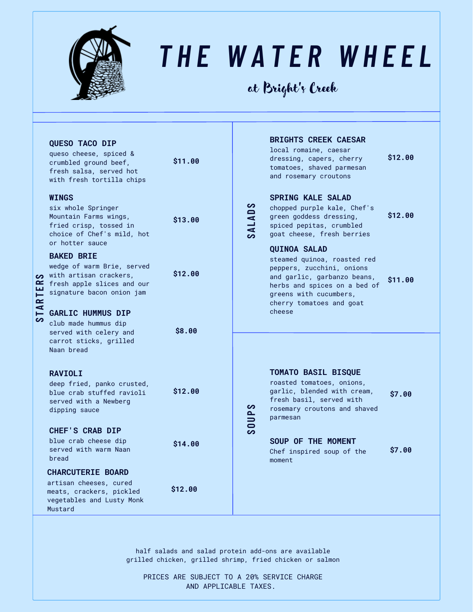

## *T H E W A T E R W H E E L*

#### at Bright' s Creek

| <b>ARTE</b><br>ပာ | <b>QUESO TACO DIP</b><br>queso cheese, spiced &<br>crumbled ground beef,<br>fresh salsa, served hot<br>with fresh tortilla chips                             | \$11.00 | S<br>$\blacksquare$<br><b>SALAI</b><br>ၯ<br>0UP<br>مہ | <b>BRIGHTS CREEK CAESAR</b><br>local romaine, caesar<br>dressing, capers, cherry<br>tomatoes, shaved parmesan<br>and rosemary croutons                                                               | \$12.00 |
|-------------------|--------------------------------------------------------------------------------------------------------------------------------------------------------------|---------|-------------------------------------------------------|------------------------------------------------------------------------------------------------------------------------------------------------------------------------------------------------------|---------|
|                   | <b>WINGS</b><br>six whole Springer<br>Mountain Farms wings,<br>fried crisp, tossed in<br>choice of Chef's mild, hot<br>or hotter sauce                       | \$13.00 |                                                       | <b>SPRING KALE SALAD</b><br>chopped purple kale, Chef's<br>green goddess dressing,<br>spiced pepitas, crumbled<br>goat cheese, fresh berries                                                         | \$12.00 |
|                   | <b>BAKED BRIE</b><br>wedge of warm Brie, served<br>o with artisan crackers,<br>$\blacktriangleright$ fresh apple slices and our<br>signature bacon onion jam | \$12.00 |                                                       | <b>QUINOA SALAD</b><br>steamed quinoa, roasted red<br>peppers, zucchini, onions<br>and garlic, garbanzo beans,<br>herbs and spices on a bed of<br>greens with cucumbers,<br>cherry tomatoes and goat | \$11.00 |
|                   | GARLIC HUMMUS DIP<br>club made hummus dip<br>served with celery and<br>carrot sticks, grilled<br>Naan bread                                                  | \$8.00  |                                                       | cheese                                                                                                                                                                                               |         |
|                   | <b>RAVIOLI</b><br>deep fried, panko crusted,<br>blue crab stuffed ravioli<br>served with a Newberg<br>dipping sauce                                          | \$12.00 |                                                       | <b>TOMATO BASIL BISQUE</b><br>roasted tomatoes, onions,<br>garlic, blended with cream,<br>fresh basil, served with<br>rosemary croutons and shaved<br>parmesan                                       | \$7.00  |
|                   | <b>CHEF'S CRAB DIP</b><br>blue crab cheese dip<br>served with warm Naan<br>bread                                                                             | \$14.00 |                                                       | SOUP OF THE MOMENT<br>Chef inspired soup of the<br>moment                                                                                                                                            | \$7.00  |
|                   | <b>CHARCUTERIE BOARD</b><br>artisan cheeses, cured<br>meats, crackers, pickled<br>vegetables and Lusty Monk<br>Mustard                                       | \$12.00 |                                                       |                                                                                                                                                                                                      |         |

half salads and salad protein add-ons are available grilled chicken, grilled shrimp, fried chicken or salmon

PRICES ARE SUBJECT TO A 20% SERVICE CHARGE AND APPLICABLE TAXES.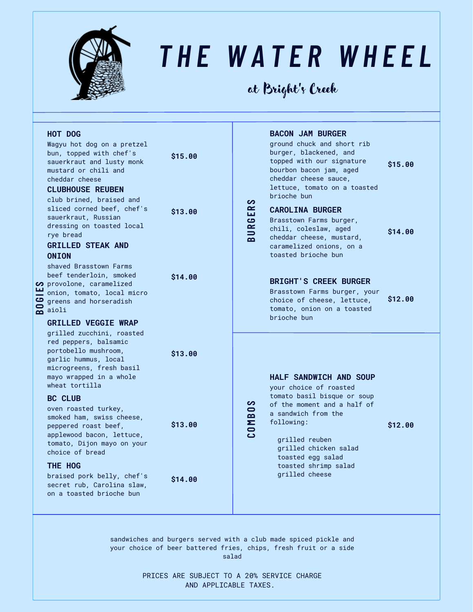

## *T H E W A T E R W H E E L*

at Bright' s Creek

|  | HOT DOG<br>Wagyu hot dog on a pretzel<br>bun, topped with chef's<br>sauerkraut and lusty monk<br>mustard or chili and<br>cheddar cheese<br><b>CLUBHOUSE REUBEN</b><br>club brined, braised and<br>sliced corned beef, chef's<br>sauerkraut, Russian<br>dressing on toasted local<br>rye bread<br><b>GRILLED STEAK AND</b><br><b>ONION</b><br>shaved Brasstown Farms<br>beef tenderloin, smoked<br>$\boldsymbol{\varphi}$ provolone, caramelized<br>onion, tomato, local micro<br>$\frac{1}{2}$ greens<br>$\frac{1}{2}$ aioli<br>greens and horseradish<br><b>GRILLED VEGGIE WRAP</b> | \$15.00<br>\$13.00<br>\$14.00 | လ<br>URGER<br>മ | <b>BACON JAM BURGER</b><br>ground chuck and short rib<br>burger, blackened, and<br>topped with our signature<br>bourbon bacon jam, aged<br>cheddar cheese sauce,<br>lettuce, tomato on a toasted<br>brioche bun<br><b>CAROLINA BURGER</b><br>Brasstown Farms burger,<br>chili, coleslaw, aged<br>cheddar cheese, mustard,<br>caramelized onions, on a<br>toasted brioche bun<br><b>BRIGHT'S CREEK BURGER</b><br>Brasstown Farms burger, your<br>choice of cheese, lettuce,<br>tomato, onion on a toasted<br>brioche bun | \$15.00<br>\$14.00<br>\$12.00 |
|--|--------------------------------------------------------------------------------------------------------------------------------------------------------------------------------------------------------------------------------------------------------------------------------------------------------------------------------------------------------------------------------------------------------------------------------------------------------------------------------------------------------------------------------------------------------------------------------------|-------------------------------|-----------------|-------------------------------------------------------------------------------------------------------------------------------------------------------------------------------------------------------------------------------------------------------------------------------------------------------------------------------------------------------------------------------------------------------------------------------------------------------------------------------------------------------------------------|-------------------------------|
|  | grilled zucchini, roasted<br>red peppers, balsamic<br>portobello mushroom,<br>garlic hummus, local<br>microgreens, fresh basil<br>mayo wrapped in a whole<br>wheat tortilla                                                                                                                                                                                                                                                                                                                                                                                                          | \$13.00                       |                 | <b>HALF SANDWICH AND SOUP</b><br>your choice of roasted<br>tomato basil bisque or soup<br>of the moment and a half of<br>a sandwich from the<br>following:<br>grilled reuben<br>grilled chicken salad<br>toasted egg salad<br>toasted shrimp salad<br>grilled cheese                                                                                                                                                                                                                                                    |                               |
|  | <b>BC CLUB</b><br>oven roasted turkey,<br>smoked ham, swiss cheese,<br>peppered roast beef,<br>applewood bacon, lettuce,<br>tomato, Dijon mayo on your<br>choice of bread                                                                                                                                                                                                                                                                                                                                                                                                            | \$13.00                       | တ<br>COMBO      |                                                                                                                                                                                                                                                                                                                                                                                                                                                                                                                         | \$12.00                       |
|  | THE HOG<br>braised pork belly, chef's<br>secret rub, Carolina slaw,<br>on a toasted brioche bun                                                                                                                                                                                                                                                                                                                                                                                                                                                                                      | \$14.00                       |                 |                                                                                                                                                                                                                                                                                                                                                                                                                                                                                                                         |                               |

sandwiches and burgers served with a club made spiced pickle and your choice of beer battered fries, chips, fresh fruit or a side salad

> PRICES ARE SUBJECT TO A 20% SERVICE CHARGE AND APPLICABLE TAXES.